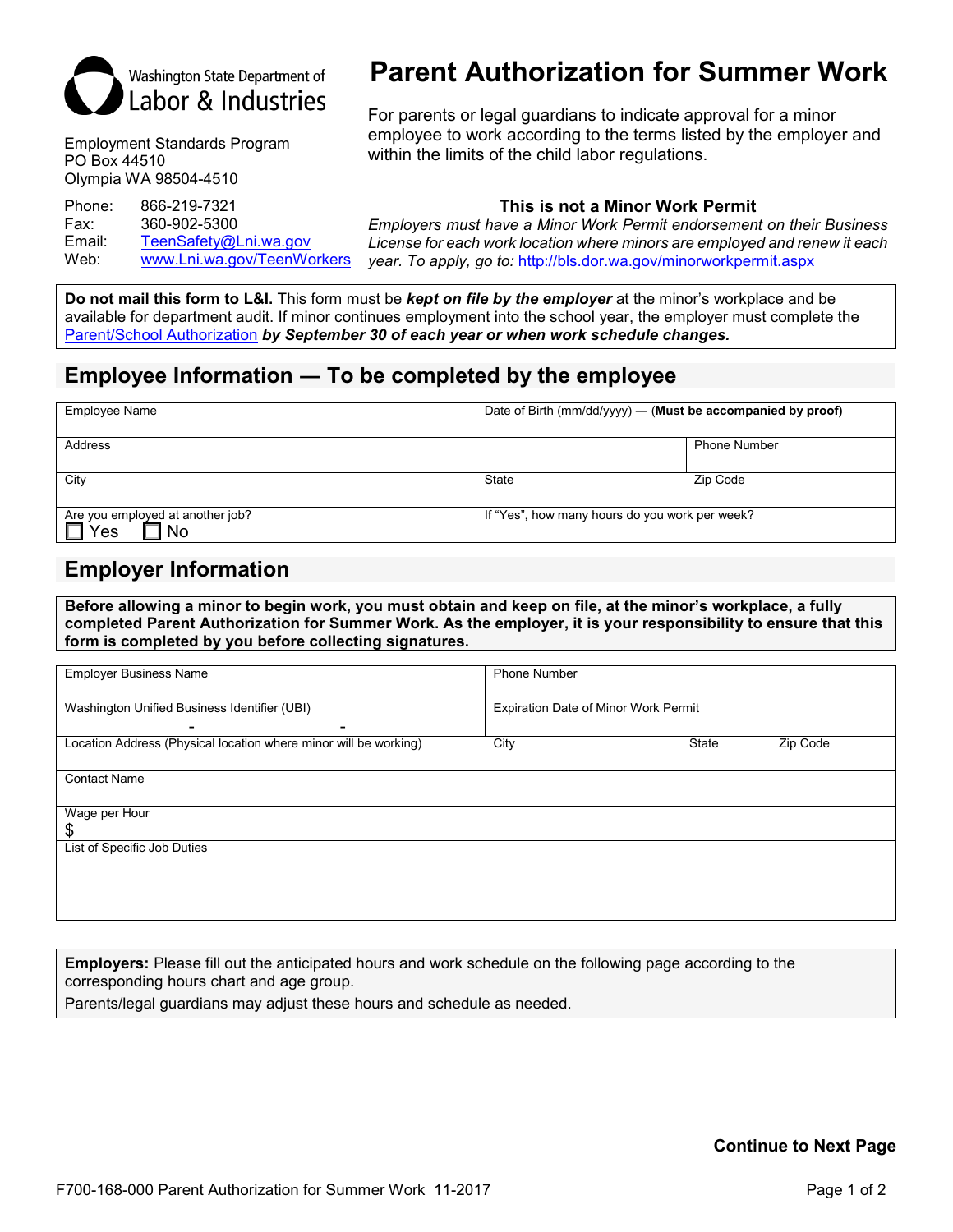

Employment Standards Program PO Box 44510 Olympia WA 98504-4510

Fax: 360-902-5300 Email: [TeenSafety@Lni.wa.gov](mailto:TeenSafety@Lni.wa.gov)<br>Web: www.Lni.wa.gov/TeenWo

[www.Lni.wa.gov/TeenWorkers](http://www.lni.wa.gov/TeenWorkers)

# **Parent Authorization for Summer Work**

For parents or legal guardians to indicate approval for a minor employee to work according to the terms listed by the employer and within the limits of the child labor regulations.

# Phone: 866-219-7321 **This is not a Minor Work Permit**

*Employers must have a Minor Work Permit endorsement on their Business License for each work location where minors are employed and renew it each year. To apply, go to:* <http://bls.dor.wa.gov/minorworkpermit.aspx>

**Do not mail this form to L&I.** This form must be *kept on file by the employer* at the minor's workplace and be available for department audit. If minor continues employment into the school year, the employer must complete the [Parent/School Authorization](http://www.lni.wa.gov/FormPub/Detail.asp?DocID=1908) *by September 30 of each year or when work schedule changes.*

# **Employee Information ― To be completed by the employee**

| Employee Name                                        | Date of Birth $\langle$ mm/dd/yyyy $\rangle$ — (Must be accompanied by proof) |                     |  |
|------------------------------------------------------|-------------------------------------------------------------------------------|---------------------|--|
| Address                                              |                                                                               | <b>Phone Number</b> |  |
| City                                                 | <b>State</b>                                                                  | Zip Code            |  |
| Are you employed at another job?<br>Yes<br><b>No</b> | If "Yes", how many hours do you work per week?                                |                     |  |

# **Employer Information**

**Before allowing a minor to begin work, you must obtain and keep on file, at the minor's workplace, a fully completed Parent Authorization for Summer Work. As the employer, it is your responsibility to ensure that this form is completed by you before collecting signatures.**

| <b>Employer Business Name</b>                                              | <b>Phone Number</b>                  |       |          |
|----------------------------------------------------------------------------|--------------------------------------|-------|----------|
| Washington Unified Business Identifier (UBI)                               | Expiration Date of Minor Work Permit |       |          |
| ۰<br>-<br>Location Address (Physical location where minor will be working) | City                                 | State | Zip Code |
| <b>Contact Name</b>                                                        |                                      |       |          |
| Wage per Hour                                                              |                                      |       |          |
| \$<br>List of Specific Job Duties                                          |                                      |       |          |
|                                                                            |                                      |       |          |
|                                                                            |                                      |       |          |

**Employers:** Please fill out the anticipated hours and work schedule on the following page according to the corresponding hours chart and age group.

Parents/legal guardians may adjust these hours and schedule as needed.